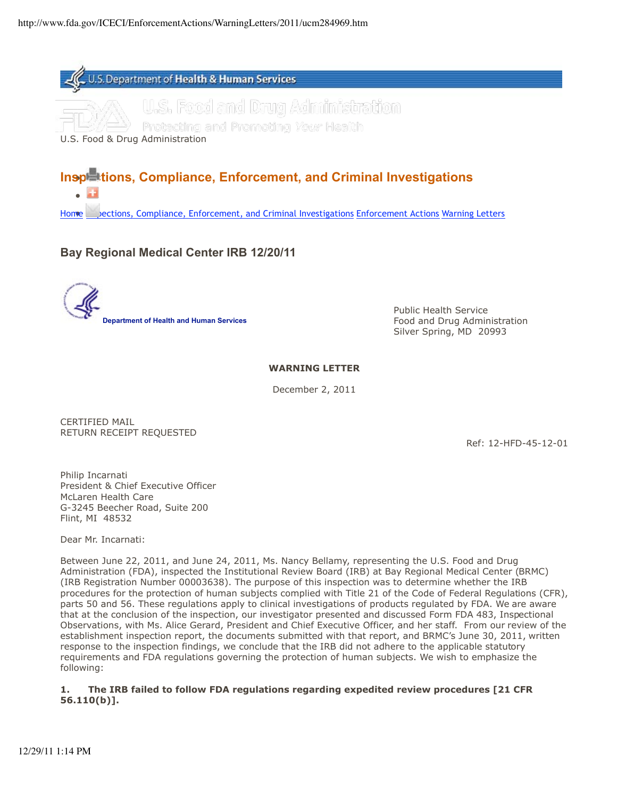

Protecting and Promoting *Your* Health

U.S. Food & Drug Administration

# **Inspections, Compliance, Enforcement, and Criminal Investigations**

Home Logiections, Compliance, Enforcement, and Criminal Investigations Enforcement Actions Warning Letters

# **Bay Regional Medical Center IRB 12/20/11**

Public Health Service **Department of Health and Human Services Food and Drug Administration Food and Drug Administration** Silver Spring, MD 20993

## **WARNING LETTER**

December 2, 2011

CERTIFIED MAIL RETURN RECEIPT REQUESTED

Ref: 12-HFD-45-12-01

Philip Incarnati President & Chief Executive Officer McLaren Health Care G-3245 Beecher Road, Suite 200 Flint, MI 48532

Dear Mr. Incarnati:

Between June 22, 2011, and June 24, 2011, Ms. Nancy Bellamy, representing the U.S. Food and Drug Administration (FDA), inspected the Institutional Review Board (IRB) at Bay Regional Medical Center (BRMC) (IRB Registration Number 00003638). The purpose of this inspection was to determine whether the IRB procedures for the protection of human subjects complied with Title 21 of the Code of Federal Regulations (CFR), parts 50 and 56. These regulations apply to clinical investigations of products regulated by FDA. We are aware that at the conclusion of the inspection, our investigator presented and discussed Form FDA 483, Inspectional Observations, with Ms. Alice Gerard, President and Chief Executive Officer, and her staff. From our review of the establishment inspection report, the documents submitted with that report, and BRMC's June 30, 2011, written response to the inspection findings, we conclude that the IRB did not adhere to the applicable statutory requirements and FDA regulations governing the protection of human subjects. We wish to emphasize the following:

#### **1. The IRB failed to follow FDA regulations regarding expedited review procedures [21 CFR 56.110(b)].**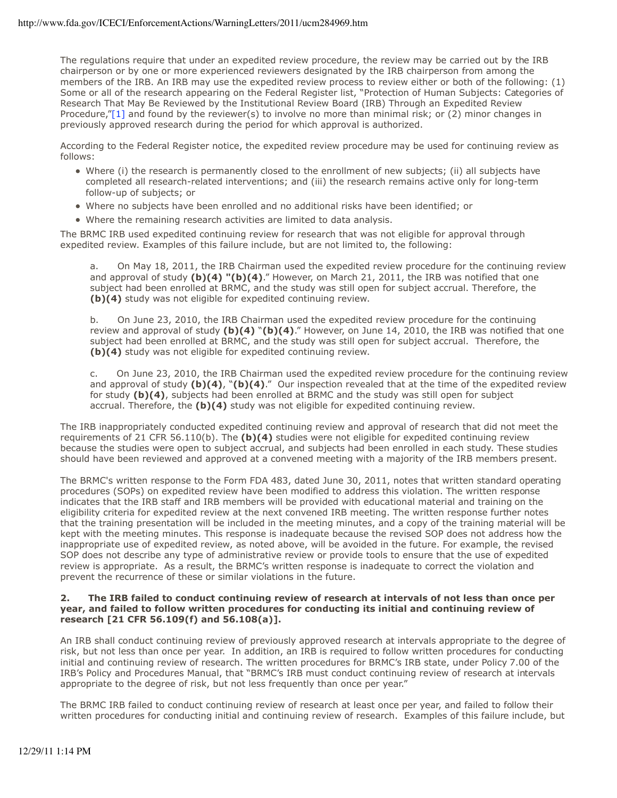The regulations require that under an expedited review procedure, the review may be carried out by the IRB chairperson or by one or more experienced reviewers designated by the IRB chairperson from among the members of the IRB. An IRB may use the expedited review process to review either or both of the following: (1) Some or all of the research appearing on the Federal Register list, "Protection of Human Subjects: Categories of Research That May Be Reviewed by the Institutional Review Board (IRB) Through an Expedited Review Procedure,"[1] and found by the reviewer(s) to involve no more than minimal risk; or (2) minor changes in previously approved research during the period for which approval is authorized.

According to the Federal Register notice, the expedited review procedure may be used for continuing review as follows:

- Where (i) the research is permanently closed to the enrollment of new subjects; (ii) all subjects have completed all research-related interventions; and (iii) the research remains active only for long-term follow-up of subjects; or
- Where no subjects have been enrolled and no additional risks have been identified; or
- Where the remaining research activities are limited to data analysis.

The BRMC IRB used expedited continuing review for research that was not eligible for approval through expedited review. Examples of this failure include, but are not limited to, the following:

a. On May 18, 2011, the IRB Chairman used the expedited review procedure for the continuing review and approval of study **(b)(4) "(b)(4)**." However, on March 21, 2011, the IRB was notified that one subject had been enrolled at BRMC, and the study was still open for subject accrual. Therefore, the **(b)(4)** study was not eligible for expedited continuing review.

b. On June 23, 2010, the IRB Chairman used the expedited review procedure for the continuing review and approval of study **(b)(4)** "**(b)(4)**." However, on June 14, 2010, the IRB was notified that one subject had been enrolled at BRMC, and the study was still open for subject accrual. Therefore, the **(b)(4)** study was not eligible for expedited continuing review.

c. On June 23, 2010, the IRB Chairman used the expedited review procedure for the continuing review and approval of study **(b)(4)**, "**(b)(4)**." Our inspection revealed that at the time of the expedited review for study **(b)(4)**, subjects had been enrolled at BRMC and the study was still open for subject accrual. Therefore, the **(b)(4)** study was not eligible for expedited continuing review.

The IRB inappropriately conducted expedited continuing review and approval of research that did not meet the requirements of 21 CFR 56.110(b). The **(b)(4)** studies were not eligible for expedited continuing review because the studies were open to subject accrual, and subjects had been enrolled in each study. These studies should have been reviewed and approved at a convened meeting with a majority of the IRB members present.

The BRMC's written response to the Form FDA 483, dated June 30, 2011, notes that written standard operating procedures (SOPs) on expedited review have been modified to address this violation. The written response indicates that the IRB staff and IRB members will be provided with educational material and training on the eligibility criteria for expedited review at the next convened IRB meeting. The written response further notes that the training presentation will be included in the meeting minutes, and a copy of the training material will be kept with the meeting minutes. This response is inadequate because the revised SOP does not address how the inappropriate use of expedited review, as noted above, will be avoided in the future. For example, the revised SOP does not describe any type of administrative review or provide tools to ensure that the use of expedited review is appropriate. As a result, the BRMC's written response is inadequate to correct the violation and prevent the recurrence of these or similar violations in the future.

#### **2. The IRB failed to conduct continuing review of research at intervals of not less than once per year, and failed to follow written procedures for conducting its initial and continuing review of research [21 CFR 56.109(f) and 56.108(a)].**

An IRB shall conduct continuing review of previously approved research at intervals appropriate to the degree of risk, but not less than once per year. In addition, an IRB is required to follow written procedures for conducting initial and continuing review of research. The written procedures for BRMC's IRB state, under Policy 7.00 of the IRB's Policy and Procedures Manual, that "BRMC's IRB must conduct continuing review of research at intervals appropriate to the degree of risk, but not less frequently than once per year."

The BRMC IRB failed to conduct continuing review of research at least once per year, and failed to follow their written procedures for conducting initial and continuing review of research. Examples of this failure include, but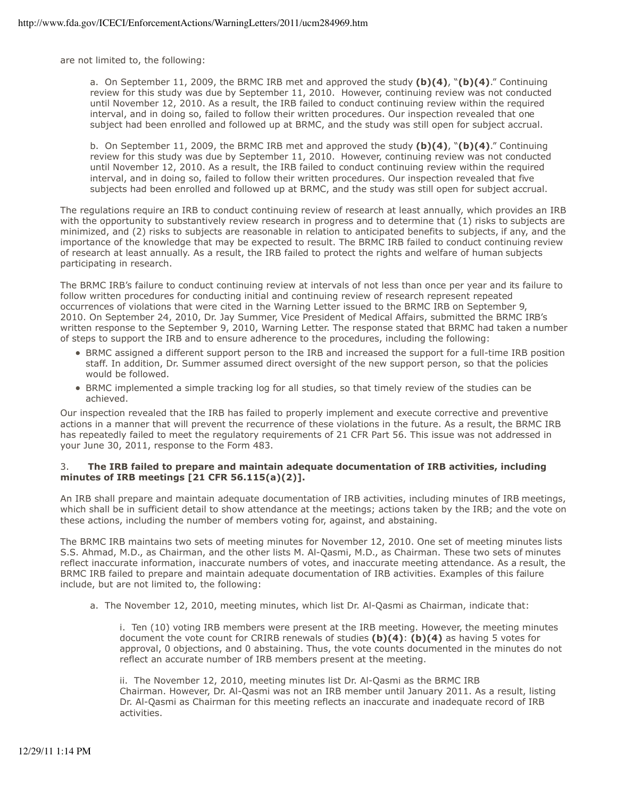are not limited to, the following:

a. On September 11, 2009, the BRMC IRB met and approved the study **(b)(4)**, "**(b)(4)**." Continuing review for this study was due by September 11, 2010. However, continuing review was not conducted until November 12, 2010. As a result, the IRB failed to conduct continuing review within the required interval, and in doing so, failed to follow their written procedures. Our inspection revealed that one subject had been enrolled and followed up at BRMC, and the study was still open for subject accrual.

b. On September 11, 2009, the BRMC IRB met and approved the study **(b)(4)**, "**(b)(4)**." Continuing review for this study was due by September 11, 2010. However, continuing review was not conducted until November 12, 2010. As a result, the IRB failed to conduct continuing review within the required interval, and in doing so, failed to follow their written procedures. Our inspection revealed that five subjects had been enrolled and followed up at BRMC, and the study was still open for subject accrual.

The regulations require an IRB to conduct continuing review of research at least annually, which provides an IRB with the opportunity to substantively review research in progress and to determine that (1) risks to subjects are minimized, and (2) risks to subjects are reasonable in relation to anticipated benefits to subjects, if any, and the importance of the knowledge that may be expected to result. The BRMC IRB failed to conduct continuing review of research at least annually. As a result, the IRB failed to protect the rights and welfare of human subjects participating in research.

written response to the September 9, 2010, Warning Letter. The response stated that BRMC had taken a number<br>of steps to support the IRB and to ensure adherence to the procedures, including the following: The BRMC IRB's failure to conduct continuing review at intervals of not less than once per year and its failure to follow written procedures for conducting initial and continuing review of research represent repeated occurrences of violations that were cited in the Warning Letter issued to the BRMC IRB on September 9, 2010. On September 24, 2010, Dr. Jay Summer, Vice President of Medical Affairs, submitted the BRMC IRB's

- BRMC assigned a different support person to the IRB and increased the support for a full-time IRB position staff. In addition, Dr. Summer assumed direct oversight of the new support person, so that the policies would be followed.
- BRMC implemented a simple tracking log for all studies, so that timely review of the studies can be achieved.

Our inspection revealed that the IRB has failed to properly implement and execute corrective and preventive actions in a manner that will prevent the recurrence of these violations in the future. As a result, the BRMC IRB has repeatedly failed to meet the regulatory requirements of 21 CFR Part 56. This issue was not addressed in your June 30, 2011, response to the Form 483.

#### 3. **The IRB failed to prepare and maintain adequate documentation of IRB activities, including minutes of IRB meetings [21 CFR 56.115(a)(2)].**

An IRB shall prepare and maintain adequate documentation of IRB activities, including minutes of IRB meetings, which shall be in sufficient detail to show attendance at the meetings; actions taken by the IRB; and the vote on these actions, including the number of members voting for, against, and abstaining.

The BRMC IRB maintains two sets of meeting minutes for November 12, 2010. One set of meeting minutes lists S.S. Ahmad, M.D., as Chairman, and the other lists M. Al-Qasmi, M.D., as Chairman. These two sets of minutes reflect inaccurate information, inaccurate numbers of votes, and inaccurate meeting attendance. As a result, the BRMC IRB failed to prepare and maintain adequate documentation of IRB activities. Examples of this failure include, but are not limited to, the following:

a. The November 12, 2010, meeting minutes, which list Dr. Al-Qasmi as Chairman, indicate that:

i. Ten (10) voting IRB members were present at the IRB meeting. However, the meeting minutes document the vote count for CRIRB renewals of studies **(b)(4)**: **(b)(4)** as having 5 votes for approval, 0 objections, and 0 abstaining. Thus, the vote counts documented in the minutes do not reflect an accurate number of IRB members present at the meeting.

ii. The November 12, 2010, meeting minutes list Dr. Al-Qasmi as the BRMC IRB Chairman. However, Dr. Al-Qasmi was not an IRB member until January 2011. As a result, listing Dr. Al-Qasmi as Chairman for this meeting reflects an inaccurate and inadequate record of IRB activities.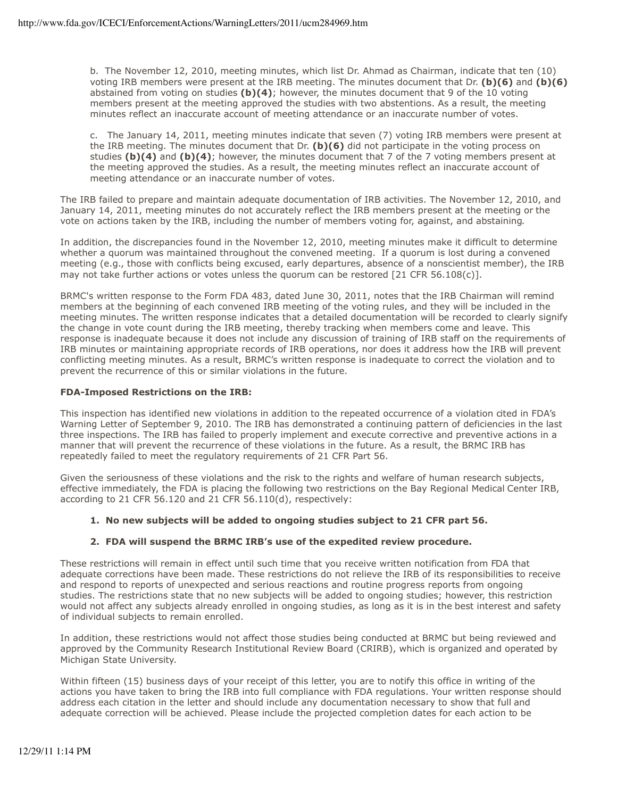b. The November 12, 2010, meeting minutes, which list Dr. Ahmad as Chairman, indicate that ten (10) voting IRB members were present at the IRB meeting. The minutes document that Dr. **(b)(6)** and **(b)(6)**  abstained from voting on studies **(b)(4)**; however, the minutes document that 9 of the 10 voting members present at the meeting approved the studies with two abstentions. As a result, the meeting minutes reflect an inaccurate account of meeting attendance or an inaccurate number of votes.

c. The January 14, 2011, meeting minutes indicate that seven (7) voting IRB members were present at the IRB meeting. The minutes document that Dr. **(b)(6)** did not participate in the voting process on studies **(b)(4)** and **(b)(4)**; however, the minutes document that 7 of the 7 voting members present at the meeting approved the studies. As a result, the meeting minutes reflect an inaccurate account of meeting attendance or an inaccurate number of votes.

The IRB failed to prepare and maintain adequate documentation of IRB activities. The November 12, 2010, and January 14, 2011, meeting minutes do not accurately reflect the IRB members present at the meeting or the vote on actions taken by the IRB, including the number of members voting for, against, and abstaining.

In addition, the discrepancies found in the November 12, 2010, meeting minutes make it difficult to determine whether a quorum was maintained throughout the convened meeting. If a quorum is lost during a convened meeting (e.g., those with conflicts being excused, early departures, absence of a nonscientist member), the IRB may not take further actions or votes unless the quorum can be restored [21 CFR 56.108(c)].

meeting minutes. The written response indicates that a detailed documentation will be recorded to clearly signify BRMC's written response to the Form FDA 483, dated June 30, 2011, notes that the IRB Chairman will remind members at the beginning of each convened IRB meeting of the voting rules, and they will be included in the the change in vote count during the IRB meeting, thereby tracking when members come and leave. This response is inadequate because it does not include any discussion of training of IRB staff on the requirements of IRB minutes or maintaining appropriate records of IRB operations, nor does it address how the IRB will prevent conflicting meeting minutes. As a result, BRMC's written response is inadequate to correct the violation and to prevent the recurrence of this or similar violations in the future.

## **FDA-Imposed Restrictions on the IRB:**

This inspection has identified new violations in addition to the repeated occurrence of a violation cited in FDA's Warning Letter of September 9, 2010. The IRB has demonstrated a continuing pattern of deficiencies in the last three inspections. The IRB has failed to properly implement and execute corrective and preventive actions in a manner that will prevent the recurrence of these violations in the future. As a result, the BRMC IRB has repeatedly failed to meet the regulatory requirements of 21 CFR Part 56.

Given the seriousness of these violations and the risk to the rights and welfare of human research subjects, effective immediately, the FDA is placing the following two restrictions on the Bay Regional Medical Center IRB, according to 21 CFR 56.120 and 21 CFR 56.110(d), respectively:

# **1. No new subjects will be added to ongoing studies subject to 21 CFR part 56.**

# **2. FDA will suspend the BRMC IRB's use of the expedited review procedure.**

These restrictions will remain in effect until such time that you receive written notification from FDA that adequate corrections have been made. These restrictions do not relieve the IRB of its responsibilities to receive and respond to reports of unexpected and serious reactions and routine progress reports from ongoing studies. The restrictions state that no new subjects will be added to ongoing studies; however, this restriction would not affect any subjects already enrolled in ongoing studies, as long as it is in the best interest and safety of individual subjects to remain enrolled.

In addition, these restrictions would not affect those studies being conducted at BRMC but being reviewed and approved by the Community Research Institutional Review Board (CRIRB), which is organized and operated by Michigan State University.

Within fifteen (15) business days of your receipt of this letter, you are to notify this office in writing of the actions you have taken to bring the IRB into full compliance with FDA regulations. Your written response should address each citation in the letter and should include any documentation necessary to show that full and adequate correction will be achieved. Please include the projected completion dates for each action to be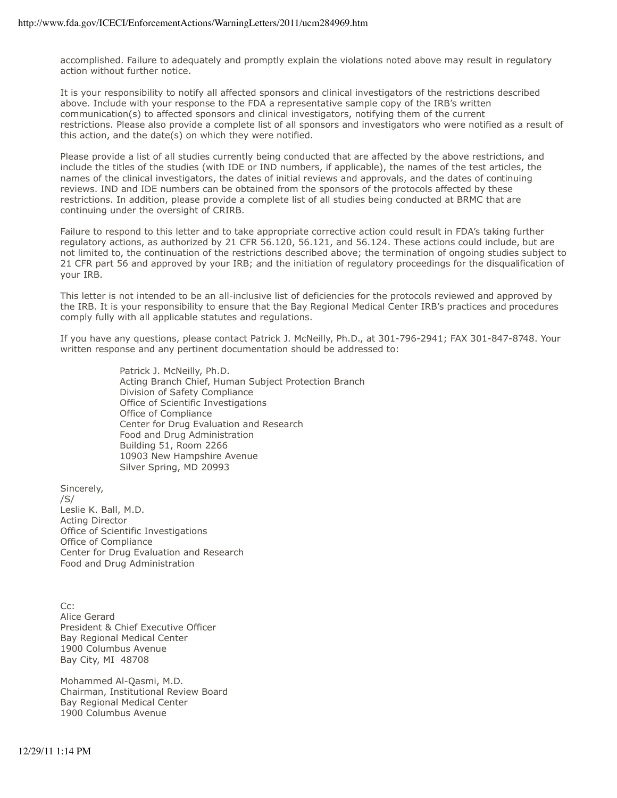accomplished. Failure to adequately and promptly explain the violations noted above may result in regulatory action without further notice.

It is your responsibility to notify all affected sponsors and clinical investigators of the restrictions described above. Include with your response to the FDA a representative sample copy of the IRB's written communication(s) to affected sponsors and clinical investigators, notifying them of the current restrictions. Please also provide a complete list of all sponsors and investigators who were notified as a result of this action, and the date(s) on which they were notified.

Please provide a list of all studies currently being conducted that are affected by the above restrictions, and include the titles of the studies (with IDE or IND numbers, if applicable), the names of the test articles, the names of the clinical investigators, the dates of initial reviews and approvals, and the dates of continuing reviews. IND and IDE numbers can be obtained from the sponsors of the protocols affected by these restrictions. In addition, please provide a complete list of all studies being conducted at BRMC that are continuing under the oversight of CRIRB.

Failure to respond to this letter and to take appropriate corrective action could result in FDA's taking further regulatory actions, as authorized by 21 CFR 56.120, 56.121, and 56.124. These actions could include, but are not limited to, the continuation of the restrictions described above; the termination of ongoing studies subject to 21 CFR part 56 and approved by your IRB; and the initiation of regulatory proceedings for the disqualification of your IRB.

This letter is not intended to be an all-inclusive list of deficiencies for the protocols reviewed and approved by the IRB. It is your responsibility to ensure that the Bay Regional Medical Center IRB's practices and procedures comply fully with all applicable statutes and regulations.

If you have any questions, please contact Patrick J. McNeilly, Ph.D., at 301-796-2941; FAX 301-847-8748. Your written response and any pertinent documentation should be addressed to:

> Patrick J. McNeilly, Ph.D. Acting Branch Chief, Human Subject Protection Branch Division of Safety Compliance Office of Scientific Investigations Office of Compliance Center for Drug Evaluation and Research Food and Drug Administration Building 51, Room 2266 10903 New Hampshire Avenue Silver Spring, MD 20993

Sincerely, /S/ Leslie K. Ball, M.D. Acting Director Office of Scientific Investigations Office of Compliance Center for Drug Evaluation and Research Food and Drug Administration

 $Cr:$ Alice Gerard President & Chief Executive Officer Bay Regional Medical Center 1900 Columbus Avenue Bay City, MI 48708

Mohammed Al-Qasmi, M.D. Chairman, Institutional Review Board Bay Regional Medical Center 1900 Columbus Avenue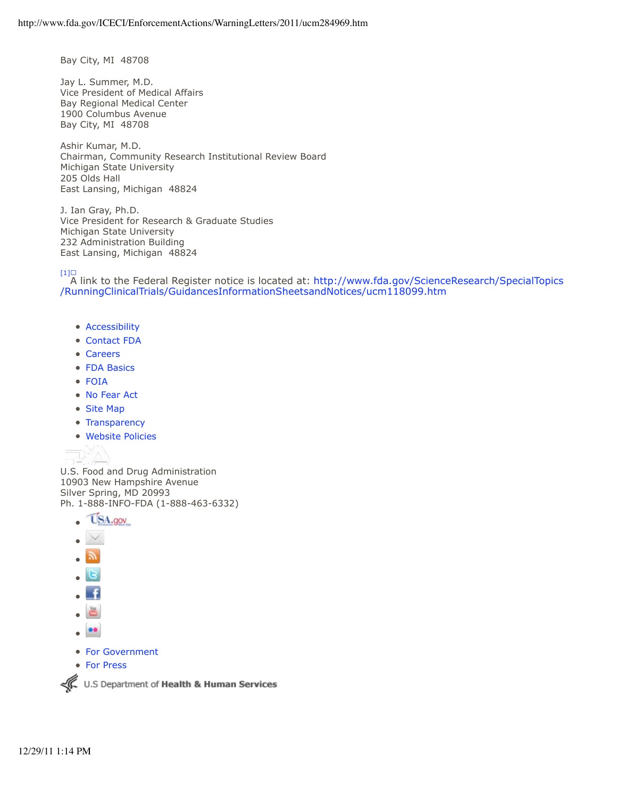Bay City, MI 48708

Jay L. Summer, M.D. Vice President of Medical Affairs Bay Regional Medical Center 1900 Columbus Avenue Bay City, MI 48708

Ashir Kumar, M.D. Chairman, Community Research Institutional Review Board Michigan State University 205 Olds Hall East Lansing, Michigan 48824

J. Ian Gray, Ph.D. Vice President for Research & Graduate Studies Michigan State University 232 Administration Building East Lansing, Michigan 48824

 $\frac{[1] \square}{[1] \square}$  A link to the Federal Register notice is located at:<http://www.fda.gov/ScienceResearch/SpecialTopics> /RunningClinicalTrials/GuidancesInformationSheetsandNotices/ucm118099.htm

- Accessibility
- Contact FDA
- Careers
- FDA Basics
- FOIA
- No Fear Act
- Site Map
- Transparency
- Website Policies

U.S. Food and Drug Administration 10903 New Hampshire Avenue Silver Spring, MD 20993 Ph. 1-888-INFO-FDA (1-888-463-6332)





- 
- −f  $\blacksquare$
- ă.
- $\overline{\phantom{a}}$
- For Government
- For Press

U.S Department of Health & Human Services